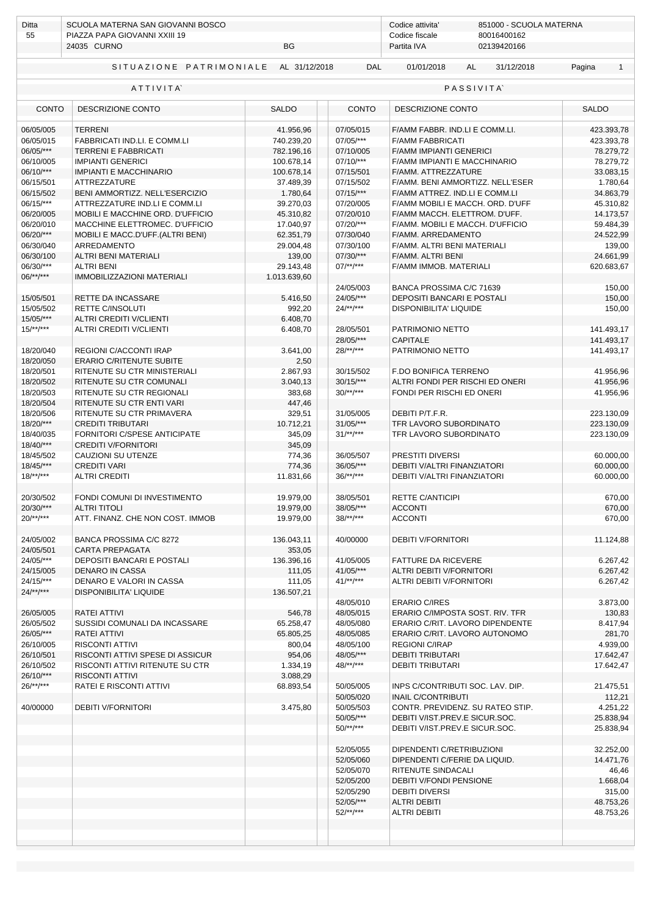| Ditta<br>55            | SCUOLA MATERNA SAN GIOVANNI BOSCO<br>PIAZZA PAPA GIOVANNI XXIII 19<br>BG<br>24035 CURNO |                      |              | Codice attivita'<br>851000 - SCUOLA MATERNA<br>Codice fiscale<br>80016400162<br>Partita IVA<br>02139420166 |                        |  |  |
|------------------------|-----------------------------------------------------------------------------------------|----------------------|--------------|------------------------------------------------------------------------------------------------------------|------------------------|--|--|
|                        | SITUAZIONE PATRIMONIALE                                                                 | AL 31/12/2018        | <b>DAL</b>   | 01/01/2018<br>AL<br>31/12/2018                                                                             | Pagina<br>$\mathbf{1}$ |  |  |
|                        | ATTIVITA                                                                                |                      |              | <b>PASSIVITA</b>                                                                                           |                        |  |  |
| <b>CONTO</b>           | DESCRIZIONE CONTO                                                                       | <b>SALDO</b>         | <b>CONTO</b> | DESCRIZIONE CONTO                                                                                          | <b>SALDO</b>           |  |  |
| 06/05/005              | <b>TERRENI</b>                                                                          | 41.956,96            | 07/05/015    | F/AMM FABBR. IND.LI E COMM.LI.                                                                             | 423.393,78             |  |  |
| 06/05/015              | FABBRICATI IND.LI. E COMM.LI                                                            | 740.239,20           | 07/05/***    | <b>F/AMM FABBRICATI</b>                                                                                    | 423.393,78             |  |  |
| 06/05/***              | <b>TERRENI E FABBRICATI</b>                                                             | 782.196,16           | 07/10/005    | <b>F/AMM IMPIANTI GENERICI</b>                                                                             | 78.279,72              |  |  |
| 06/10/005              | <b>IMPIANTI GENERICI</b>                                                                | 100.678,14           | $07/10$ /*** | F/AMM IMPIANTI E MACCHINARIO                                                                               | 78.279,72              |  |  |
| 06/10/***              | <b>IMPIANTI E MACCHINARIO</b>                                                           | 100.678,14           | 07/15/501    | F/AMM. ATTREZZATURE                                                                                        | 33.083,15              |  |  |
| 06/15/501              | <b>ATTREZZATURE</b>                                                                     | 37.489,39            | 07/15/502    | F/AMM. BENI AMMORTIZZ. NELL'ESER                                                                           | 1.780,64               |  |  |
| 06/15/502              | BENI AMMORTIZZ. NELL'ESERCIZIO                                                          | 1.780,64             | $07/15$ /*** | F/AMM ATTREZ. IND.LI E COMM.LI                                                                             | 34.863,79              |  |  |
| 06/15/***              | ATTREZZATURE IND.LI E COMM.LI                                                           | 39.270,03            | 07/20/005    | F/AMM MOBILI E MACCH. ORD. D'UFF                                                                           | 45.310,82              |  |  |
| 06/20/005              | MOBILI E MACCHINE ORD. D'UFFICIO                                                        | 45.310,82            | 07/20/010    | F/AMM MACCH. ELETTROM. D'UFF.                                                                              | 14.173,57              |  |  |
| 06/20/010              | MACCHINE ELETTROMEC. D'UFFICIO                                                          | 17.040,97            | 07/20/***    | F/AMM. MOBILI E MACCH. D'UFFICIO                                                                           | 59.484,39              |  |  |
| 06/20/***              | MOBILI E MACC.D'UFF.(ALTRI BENI)                                                        | 62.351,79            | 07/30/040    | F/AMM. ARREDAMENTO                                                                                         | 24.522,99              |  |  |
| 06/30/040              | ARREDAMENTO                                                                             | 29.004,48            | 07/30/100    | F/AMM, ALTRI BENI MATERIALI                                                                                | 139,00                 |  |  |
| 06/30/100              | ALTRI BENI MATERIALI                                                                    | 139,00               | 07/30/***    | F/AMM. ALTRI BENI                                                                                          | 24.661,99              |  |  |
| 06/30/***              | <b>ALTRI BENI</b>                                                                       | 29.143,48            | $07$ /**/*** | F/AMM IMMOB. MATERIALI                                                                                     | 620.683,67             |  |  |
| $06$ /**/***           | <b>IMMOBILIZZAZIONI MATERIALI</b>                                                       | 1.013.639,60         |              |                                                                                                            |                        |  |  |
|                        |                                                                                         |                      | 24/05/003    | BANCA PROSSIMA C/C 71639                                                                                   | 150,00                 |  |  |
| 15/05/501              | <b>RETTE DA INCASSARE</b>                                                               | 5.416,50             | 24/05/***    | DEPOSITI BANCARI E POSTALI                                                                                 | 150,00                 |  |  |
| 15/05/502              | <b>RETTE C/INSOLUTI</b>                                                                 | 992,20               | $24$ /**/*** | DISPONIBILITA' LIQUIDE                                                                                     | 150,00                 |  |  |
| 15/05/***              | ALTRI CREDITI V/CLIENTI                                                                 | 6.408,70             |              |                                                                                                            |                        |  |  |
| $15$ /**/***           | ALTRI CREDITI V/CLIENTI                                                                 | 6.408,70             | 28/05/501    | PATRIMONIO NETTO                                                                                           | 141.493,17             |  |  |
|                        |                                                                                         |                      | 28/05/***    | <b>CAPITALE</b>                                                                                            | 141.493,17             |  |  |
| 18/20/040              | REGIONI C/ACCONTI IRAP                                                                  | 3.641,00             | $28$ /**/*** | PATRIMONIO NETTO                                                                                           | 141.493,17             |  |  |
| 18/20/050              | <b>ERARIO C/RITENUTE SUBITE</b>                                                         | 2,50                 |              |                                                                                                            |                        |  |  |
| 18/20/501              | RITENUTE SU CTR MINISTERIALI                                                            | 2.867,93             | 30/15/502    | F.DO BONIFICA TERRENO                                                                                      | 41.956,96              |  |  |
| 18/20/502              | RITENUTE SU CTR COMUNALI                                                                | 3.040,13             | $30/15$ /*** | ALTRI FONDI PER RISCHI ED ONERI                                                                            | 41.956,96              |  |  |
| 18/20/503              | RITENUTE SU CTR REGIONALI                                                               | 383,68               | $30$ /**/*** | FONDI PER RISCHI ED ONERI                                                                                  | 41.956,96              |  |  |
| 18/20/504              | RITENUTE SU CTR ENTI VARI                                                               | 447,46               |              |                                                                                                            |                        |  |  |
| 18/20/506              | RITENUTE SU CTR PRIMAVERA                                                               | 329,51               | 31/05/005    | DEBITI P/T.F.R.                                                                                            | 223.130,09             |  |  |
| 18/20/***              | <b>CREDITI TRIBUTARI</b>                                                                | 10.712,21            | $31/05$ /*** | TFR LAVORO SUBORDINATO                                                                                     | 223.130,09             |  |  |
| 18/40/035              | FORNITORI C/SPESE ANTICIPATE                                                            | 345,09               | $31$ /**/*** | TFR LAVORO SUBORDINATO                                                                                     | 223.130,09             |  |  |
| 18/40/***              | <b>CREDITI V/FORNITORI</b>                                                              | 345,09               |              |                                                                                                            |                        |  |  |
| 18/45/502              | CAUZIONI SU UTENZE                                                                      | 774,36               | 36/05/507    | PRESTITI DIVERSI                                                                                           | 60.000,00              |  |  |
| 18/45/***              | <b>CREDITI VARI</b>                                                                     | 774,36               | 36/05/***    | DEBITI V/ALTRI FINANZIATORI                                                                                | 60.000,00              |  |  |
| $18$ /**/***           | <b>ALTRI CREDITI</b>                                                                    | 11.831,66            | $36/**/***$  | DEBITI V/ALTRI FINANZIATORI                                                                                | 60.000,00              |  |  |
|                        |                                                                                         |                      |              |                                                                                                            |                        |  |  |
| 20/30/502              | FONDI COMUNI DI INVESTIMENTO                                                            | 19.979,00            | 38/05/501    | <b>RETTE C/ANTICIPI</b>                                                                                    | 670,00                 |  |  |
| 20/30/***              | <b>ALTRI TITOLI</b>                                                                     | 19.979,00            | 38/05/***    | <b>ACCONTI</b>                                                                                             | 670,00                 |  |  |
| $20$ /**/***           | ATT. FINANZ. CHE NON COST. IMMOB                                                        | 19.979,00            | $38$ /**/*** | <b>ACCONTI</b>                                                                                             | 670,00                 |  |  |
|                        |                                                                                         |                      |              | <b>DEBITI V/FORNITORI</b>                                                                                  |                        |  |  |
| 24/05/002<br>24/05/501 | BANCA PROSSIMA C/C 8272<br>CARTA PREPAGATA                                              | 136.043,11<br>353,05 | 40/00000     |                                                                                                            | 11.124,88              |  |  |
| 24/05/***              | DEPOSITI BANCARI E POSTALI                                                              | 136.396,16           | 41/05/005    | <b>FATTURE DA RICEVERE</b>                                                                                 |                        |  |  |
| 24/15/005              | <b>DENARO IN CASSA</b>                                                                  | 111,05               | $41/05$ /*** | ALTRI DEBITI V/FORNITORI                                                                                   | 6.267,42<br>6.267,42   |  |  |
| $24/15$ /***           | DENARO E VALORI IN CASSA                                                                | 111,05               | $41^{***}$   | ALTRI DEBITI V/FORNITORI                                                                                   | 6.267,42               |  |  |
| $24$ /**/***           |                                                                                         |                      |              |                                                                                                            |                        |  |  |
|                        | DISPONIBILITA' LIQUIDE                                                                  | 136.507,21           | 48/05/010    | <b>ERARIO C/IRES</b>                                                                                       | 3.873,00               |  |  |
| 26/05/005              | RATEI ATTIVI                                                                            | 546,78               | 48/05/015    | ERARIO C/IMPOSTA SOST. RIV. TFR                                                                            | 130,83                 |  |  |
| 26/05/502              | SUSSIDI COMUNALI DA INCASSARE                                                           | 65.258,47            | 48/05/080    | ERARIO C/RIT. LAVORO DIPENDENTE                                                                            | 8.417,94               |  |  |
| 26/05/***              | RATEI ATTIVI                                                                            | 65.805,25            | 48/05/085    | ERARIO C/RIT. LAVORO AUTONOMO                                                                              | 281,70                 |  |  |
| 26/10/005              | RISCONTI ATTIVI                                                                         | 800,04               | 48/05/100    | <b>REGIONI C/IRAP</b>                                                                                      | 4.939,00               |  |  |
| 26/10/501              | RISCONTI ATTIVI SPESE DI ASSICUR                                                        | 954,06               | 48/05/***    | <b>DEBITI TRIBUTARI</b>                                                                                    | 17.642,47              |  |  |
| 26/10/502              | RISCONTI ATTIVI RITENUTE SU CTR                                                         | 1.334,19             | $48$ /**/*** | <b>DEBITI TRIBUTARI</b>                                                                                    | 17.642,47              |  |  |
| 26/10/***              | RISCONTI ATTIVI                                                                         | 3.088,29             |              |                                                                                                            |                        |  |  |
| $26$ /**/***           | RATEI E RISCONTI ATTIVI                                                                 | 68.893,54            | 50/05/005    | INPS C/CONTRIBUTI SOC. LAV. DIP.                                                                           | 21.475,51              |  |  |
|                        |                                                                                         |                      | 50/05/020    | <b>INAIL C/CONTRIBUTI</b>                                                                                  | 112,21                 |  |  |
| 40/00000               | <b>DEBITI V/FORNITORI</b>                                                               | 3.475,80             | 50/05/503    | CONTR. PREVIDENZ. SU RATEO STIP.                                                                           | 4.251,22               |  |  |
|                        |                                                                                         |                      | 50/05/***    | DEBITI V/IST.PREV.E SICUR.SOC.                                                                             | 25.838,94              |  |  |
|                        |                                                                                         |                      | $50$ /**/*** | DEBITI V/IST.PREV.E SICUR.SOC.                                                                             | 25.838,94              |  |  |
|                        |                                                                                         |                      |              |                                                                                                            |                        |  |  |
|                        |                                                                                         |                      | 52/05/055    | DIPENDENTI C/RETRIBUZIONI                                                                                  | 32.252,00              |  |  |
|                        |                                                                                         |                      | 52/05/060    | DIPENDENTI C/FERIE DA LIQUID.                                                                              | 14.471,76              |  |  |
|                        |                                                                                         |                      | 52/05/070    | RITENUTE SINDACALI                                                                                         | 46,46                  |  |  |
|                        |                                                                                         |                      | 52/05/200    | DEBITI V/FONDI PENSIONE                                                                                    | 1.668,04               |  |  |
|                        |                                                                                         |                      | 52/05/290    | <b>DEBITI DIVERSI</b>                                                                                      | 315,00                 |  |  |
|                        |                                                                                         |                      | 52/05/***    | <b>ALTRI DEBITI</b>                                                                                        | 48.753,26              |  |  |
|                        |                                                                                         |                      | $52$ /**/*** | <b>ALTRI DEBITI</b>                                                                                        | 48.753,26              |  |  |
|                        |                                                                                         |                      |              |                                                                                                            |                        |  |  |
|                        |                                                                                         |                      |              |                                                                                                            |                        |  |  |
|                        |                                                                                         |                      |              |                                                                                                            |                        |  |  |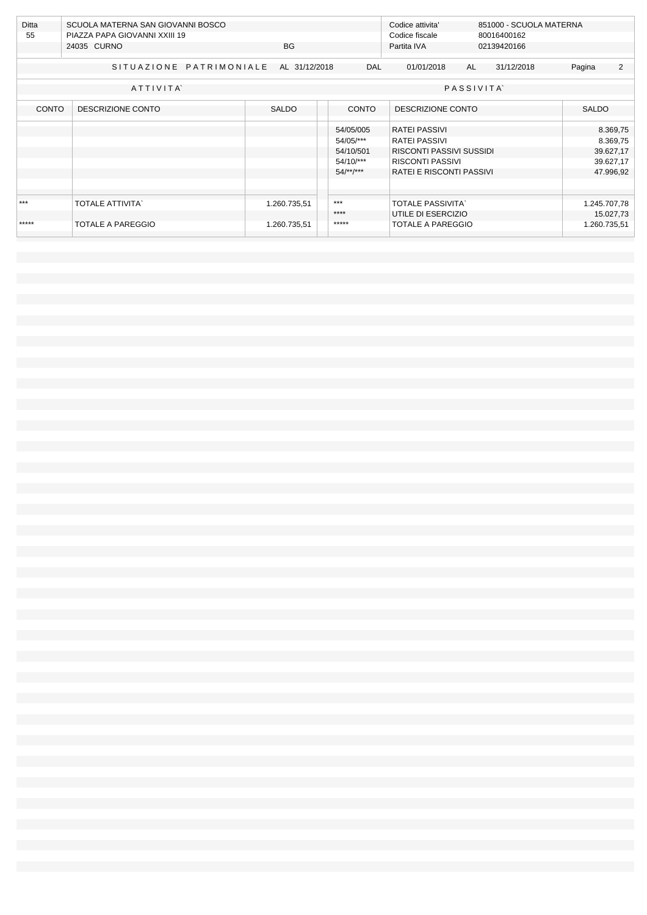| Ditta<br>55  | SCUOLA MATERNA SAN GIOVANNI BOSCO<br>PIAZZA PAPA GIOVANNI XXIII 19<br>24035 CURNO<br>BG. |               |                        | Codice attivita'<br>Codice fiscale               |                  | 851000 - SCUOLA MATERNA<br>80016400162 |           |                       |  |
|--------------|------------------------------------------------------------------------------------------|---------------|------------------------|--------------------------------------------------|------------------|----------------------------------------|-----------|-----------------------|--|
|              |                                                                                          |               |                        | Partita IVA                                      |                  |                                        |           |                       |  |
|              | SITUAZIONE PATRIMONIALE                                                                  | AL 31/12/2018 | <b>DAL</b>             | 01/01/2018                                       | AL               | 31/12/2018                             | Pagina    | 2                     |  |
|              | ATTIVITA                                                                                 |               |                        |                                                  | <b>PASSIVITA</b> |                                        |           |                       |  |
| <b>CONTO</b> | DESCRIZIONE CONTO                                                                        | <b>SALDO</b>  | CONTO                  | DESCRIZIONE CONTO                                |                  |                                        |           | <b>SALDO</b>          |  |
|              |                                                                                          |               | 54/05/005              | <b>RATEI PASSIVI</b>                             |                  |                                        |           | 8.369,75              |  |
|              |                                                                                          |               | 54/05/***<br>54/10/501 | <b>RATEI PASSIVI</b><br>RISCONTI PASSIVI SUSSIDI |                  |                                        |           | 8.369,75<br>39.627,17 |  |
|              |                                                                                          |               | $54/10$ /***           | RISCONTI PASSIVI                                 |                  |                                        | 39.627,17 |                       |  |
|              |                                                                                          |               | $54$ /**/***           | RATEI E RISCONTI PASSIVI                         |                  |                                        |           | 47.996,92             |  |
|              |                                                                                          |               |                        |                                                  |                  |                                        |           |                       |  |
| $***$        | <b>TOTALE ATTIVITA'</b>                                                                  | 1.260.735,51  | $***$                  | <b>TOTALE PASSIVITA</b>                          |                  |                                        |           | 1.245.707,78          |  |
|              |                                                                                          |               | ****                   | UTILE DI ESERCIZIO                               |                  |                                        |           | 15.027,73             |  |
| *****        | TOTALE A PAREGGIO                                                                        | 1.260.735,51  | *****                  | <b>TOTALE A PAREGGIO</b>                         |                  |                                        |           | 1.260.735,51          |  |
|              |                                                                                          |               |                        |                                                  |                  |                                        |           |                       |  |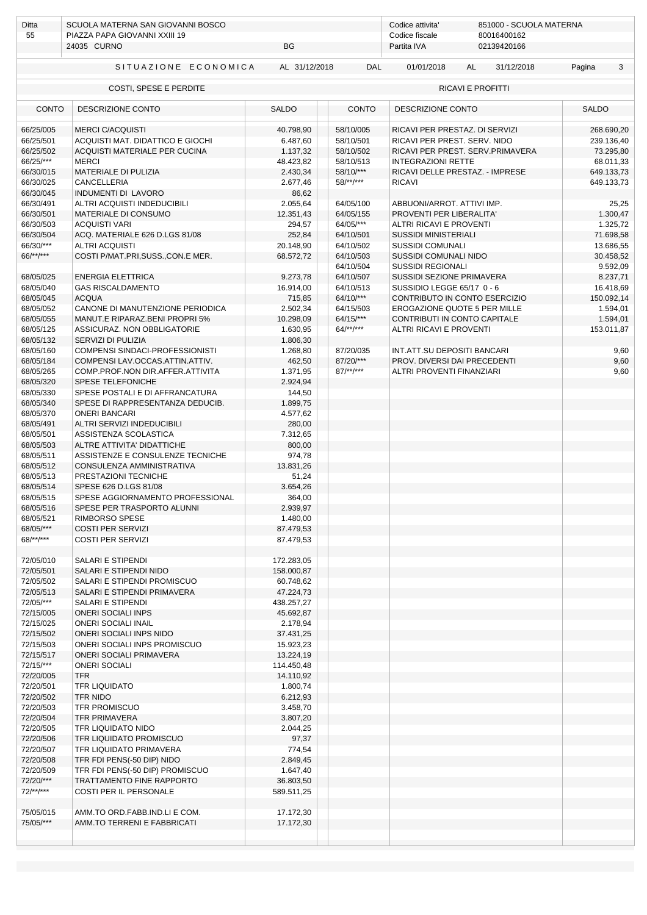| Ditta                  | SCUOLA MATERNA SAN GIOVANNI BOSCO                              |                        |                              |                                | Codice attivita'<br>851000 - SCUOLA MATERNA |              |            |  |  |  |
|------------------------|----------------------------------------------------------------|------------------------|------------------------------|--------------------------------|---------------------------------------------|--------------|------------|--|--|--|
| 55                     | PIAZZA PAPA GIOVANNI XXIII 19                                  |                        |                              |                                | 80016400162                                 |              |            |  |  |  |
|                        | 24035 CURNO                                                    | <b>BG</b>              |                              | Partita IVA                    | 02139420166                                 |              |            |  |  |  |
|                        | SITUAZIONE ECONOMICA                                           | AL 31/12/2018          | <b>DAL</b>                   | 01/01/2018                     | 31/12/2018<br>AL                            | Pagina       | 3          |  |  |  |
|                        | COSTI, SPESE E PERDITE                                         |                        |                              |                                | <b>RICAVI E PROFITTI</b>                    |              |            |  |  |  |
|                        | <b>CONTO</b><br>DESCRIZIONE CONTO                              |                        | <b>CONTO</b>                 | DESCRIZIONE CONTO              |                                             | <b>SALDO</b> |            |  |  |  |
| 66/25/005              | <b>MERCI C/ACOUISTI</b>                                        | 40.798,90              | 58/10/005                    | RICAVI PER PRESTAZ. DI SERVIZI |                                             |              | 268.690,20 |  |  |  |
| 66/25/501              | ACQUISTI MAT. DIDATTICO E GIOCHI                               | 6.487,60               | 58/10/501                    | RICAVI PER PREST. SERV. NIDO   |                                             |              | 239.136,40 |  |  |  |
| 66/25/502              | ACQUISTI MATERIALE PER CUCINA                                  | 1.137,32               | 58/10/502                    |                                | RICAVI PER PREST. SERV.PRIMAVERA            |              | 73.295,80  |  |  |  |
| 66/25/***              | <b>MERCI</b>                                                   | 48.423,82              | 58/10/513                    | <b>INTEGRAZIONI RETTE</b>      |                                             | 68.011,33    |            |  |  |  |
| 66/30/015              | <b>MATERIALE DI PULIZIA</b>                                    | 2.430,34               | 58/10/***                    |                                | RICAVI DELLE PRESTAZ. - IMPRESE             | 649.133,73   |            |  |  |  |
| 66/30/025              | <b>CANCELLERIA</b>                                             | 2.677,46               | $58$ /**/***                 | <b>RICAVI</b>                  |                                             |              | 649.133,73 |  |  |  |
| 66/30/045<br>66/30/491 | INDUMENTI DI LAVORO<br>ALTRI ACQUISTI INDEDUCIBILI             | 86,62<br>2.055,64      | 64/05/100                    | ABBUONI/ARROT. ATTIVI IMP.     |                                             |              | 25,25      |  |  |  |
| 66/30/501              | MATERIALE DI CONSUMO                                           | 12.351,43              | 64/05/155                    | PROVENTI PER LIBERALITA'       |                                             |              | 1.300,47   |  |  |  |
| 66/30/503              | <b>ACQUISTI VARI</b>                                           | 294,57                 | 64/05/***                    | ALTRI RICAVI E PROVENTI        |                                             |              | 1.325,72   |  |  |  |
| 66/30/504              | ACQ. MATERIALE 626 D.LGS 81/08                                 | 252,84                 | 64/10/501                    | <b>SUSSIDI MINISTERIALI</b>    |                                             |              | 71.698,58  |  |  |  |
| 66/30/***              | <b>ALTRI ACQUISTI</b>                                          | 20.148,90              | 64/10/502                    | <b>SUSSIDI COMUNALI</b>        |                                             |              | 13.686,55  |  |  |  |
| 66/**/***              | COSTI P/MAT.PRI, SUSS., CON.E MER.                             | 68.572,72              | 64/10/503                    | SUSSIDI COMUNALI NIDO          |                                             |              | 30.458,52  |  |  |  |
|                        |                                                                |                        | 64/10/504                    | <b>SUSSIDI REGIONALI</b>       |                                             |              | 9.592,09   |  |  |  |
| 68/05/025              | <b>ENERGIA ELETTRICA</b>                                       | 9.273,78               | 64/10/507                    | SUSSIDI SEZIONE PRIMAVERA      |                                             |              | 8.237,71   |  |  |  |
| 68/05/040              | <b>GAS RISCALDAMENTO</b>                                       | 16.914,00              | 64/10/513                    | SUSSIDIO LEGGE 65/17 0 - 6     |                                             |              | 16.418,69  |  |  |  |
| 68/05/045              | <b>ACOUA</b>                                                   | 715,85                 | 64/10/***                    |                                | CONTRIBUTO IN CONTO ESERCIZIO               | 150.092,14   |            |  |  |  |
| 68/05/052              | CANONE DI MANUTENZIONE PERIODICA                               | 2.502,34               | 64/15/503                    |                                | EROGAZIONE QUOTE 5 PER MILLE                |              | 1.594,01   |  |  |  |
| 68/05/055<br>68/05/125 | MANUT.E RIPARAZ.BENI PROPRI 5%<br>ASSICURAZ. NON OBBLIGATORIE  | 10.298,09<br>1.630,95  | $64/15$ /***<br>$64$ /**/*** | <b>ALTRI RICAVI E PROVENTI</b> | CONTRIBUTI IN CONTO CAPITALE                | 153.011,87   | 1.594,01   |  |  |  |
| 68/05/132              | SERVIZI DI PULIZIA                                             | 1.806,30               |                              |                                |                                             |              |            |  |  |  |
| 68/05/160              | COMPENSI SINDACI-PROFESSIONISTI                                | 1.268,80               | 87/20/035                    | INT.ATT.SU DEPOSITI BANCARI    |                                             |              | 9,60       |  |  |  |
| 68/05/184              | COMPENSI LAV.OCCAS.ATTIN.ATTIV.                                | 462,50                 | 87/20/***                    | PROV. DIVERSI DAI PRECEDENTI   |                                             |              | 9,60       |  |  |  |
| 68/05/265              | COMP.PROF.NON DIR.AFFER.ATTIVITA                               | 1.371,95               | $87$ /**/***                 | ALTRI PROVENTI FINANZIARI      |                                             |              | 9,60       |  |  |  |
| 68/05/320              | SPESE TELEFONICHE                                              | 2.924,94               |                              |                                |                                             |              |            |  |  |  |
| 68/05/330              | SPESE POSTALI E DI AFFRANCATURA                                | 144,50                 |                              |                                |                                             |              |            |  |  |  |
| 68/05/340              | SPESE DI RAPPRESENTANZA DEDUCIB.                               | 1.899,75               |                              |                                |                                             |              |            |  |  |  |
| 68/05/370              | <b>ONERI BANCARI</b>                                           | 4.577,62               |                              |                                |                                             |              |            |  |  |  |
| 68/05/491              | ALTRI SERVIZI INDEDUCIBILI                                     | 280,00                 |                              |                                |                                             |              |            |  |  |  |
| 68/05/501<br>68/05/503 | ASSISTENZA SCOLASTICA                                          | 7.312,65<br>800,00     |                              |                                |                                             |              |            |  |  |  |
| 68/05/511              | ALTRE ATTIVITA' DIDATTICHE<br>ASSISTENZE E CONSULENZE TECNICHE | 974,78                 |                              |                                |                                             |              |            |  |  |  |
| 68/05/512              | CONSULENZA AMMINISTRATIVA                                      | 13.831,26              |                              |                                |                                             |              |            |  |  |  |
| 68/05/513              | PRESTAZIONI TECNICHE                                           | 51,24                  |                              |                                |                                             |              |            |  |  |  |
| 68/05/514              | SPESE 626 D.LGS 81/08                                          | 3.654,26               |                              |                                |                                             |              |            |  |  |  |
| 68/05/515              | SPESE AGGIORNAMENTO PROFESSIONAL                               | 364,00                 |                              |                                |                                             |              |            |  |  |  |
| 68/05/516              | SPESE PER TRASPORTO ALUNNI                                     | 2.939,97               |                              |                                |                                             |              |            |  |  |  |
| 68/05/521              | RIMBORSO SPESE                                                 | 1.480,00               |                              |                                |                                             |              |            |  |  |  |
| 68/05/***              | <b>COSTI PER SERVIZI</b>                                       | 87.479,53              |                              |                                |                                             |              |            |  |  |  |
| $68$ /**/***           | <b>COSTI PER SERVIZI</b>                                       | 87.479,53              |                              |                                |                                             |              |            |  |  |  |
| 72/05/010              | SALARI E STIPENDI                                              | 172.283,05             |                              |                                |                                             |              |            |  |  |  |
| 72/05/501              | SALARI E STIPENDI NIDO                                         | 158.000,87             |                              |                                |                                             |              |            |  |  |  |
| 72/05/502              | SALARI E STIPENDI PROMISCUO                                    | 60.748,62              |                              |                                |                                             |              |            |  |  |  |
| 72/05/513              | SALARI E STIPENDI PRIMAVERA                                    | 47.224,73              |                              |                                |                                             |              |            |  |  |  |
| 72/05/***              | SALARI E STIPENDI                                              | 438.257,27             |                              |                                |                                             |              |            |  |  |  |
| 72/15/005              | <b>ONERI SOCIALI INPS</b>                                      | 45.692,87              |                              |                                |                                             |              |            |  |  |  |
| 72/15/025              | <b>ONERI SOCIALI INAIL</b>                                     | 2.178,94               |                              |                                |                                             |              |            |  |  |  |
| 72/15/502<br>72/15/503 | ONERI SOCIALI INPS NIDO<br>ONERI SOCIALI INPS PROMISCUO        | 37.431,25<br>15.923,23 |                              |                                |                                             |              |            |  |  |  |
| 72/15/517              | <b>ONERI SOCIALI PRIMAVERA</b>                                 | 13.224,19              |                              |                                |                                             |              |            |  |  |  |
| 72/15/***              | <b>ONERI SOCIALI</b>                                           | 114.450,48             |                              |                                |                                             |              |            |  |  |  |
| 72/20/005              | <b>TFR</b>                                                     | 14.110,92              |                              |                                |                                             |              |            |  |  |  |
| 72/20/501              | TFR LIQUIDATO                                                  | 1.800,74               |                              |                                |                                             |              |            |  |  |  |
| 72/20/502              | <b>TFR NIDO</b>                                                | 6.212,93               |                              |                                |                                             |              |            |  |  |  |
| 72/20/503              | <b>TFR PROMISCUO</b>                                           | 3.458,70               |                              |                                |                                             |              |            |  |  |  |
| 72/20/504              | <b>TFR PRIMAVERA</b>                                           | 3.807,20               |                              |                                |                                             |              |            |  |  |  |
| 72/20/505              | TFR LIQUIDATO NIDO                                             | 2.044,25               |                              |                                |                                             |              |            |  |  |  |
| 72/20/506              | TFR LIQUIDATO PROMISCUO                                        | 97,37                  |                              |                                |                                             |              |            |  |  |  |
| 72/20/507<br>72/20/508 | TFR LIQUIDATO PRIMAVERA<br>TFR FDI PENS(-50 DIP) NIDO          | 774,54<br>2.849,45     |                              |                                |                                             |              |            |  |  |  |
| 72/20/509              | TFR FDI PENS(-50 DIP) PROMISCUO                                | 1.647,40               |                              |                                |                                             |              |            |  |  |  |
| 72/20/***              | TRATTAMENTO FINE RAPPORTO                                      | 36.803,50              |                              |                                |                                             |              |            |  |  |  |
| $72$ /**/***           | COSTI PER IL PERSONALE                                         | 589.511,25             |                              |                                |                                             |              |            |  |  |  |
|                        |                                                                |                        |                              |                                |                                             |              |            |  |  |  |
| 75/05/015              | AMM.TO ORD.FABB.IND.LI E COM.                                  | 17.172,30              |                              |                                |                                             |              |            |  |  |  |
| 75/05/***              | AMM.TO TERRENI E FABBRICATI                                    | 17.172,30              |                              |                                |                                             |              |            |  |  |  |
|                        |                                                                |                        |                              |                                |                                             |              |            |  |  |  |